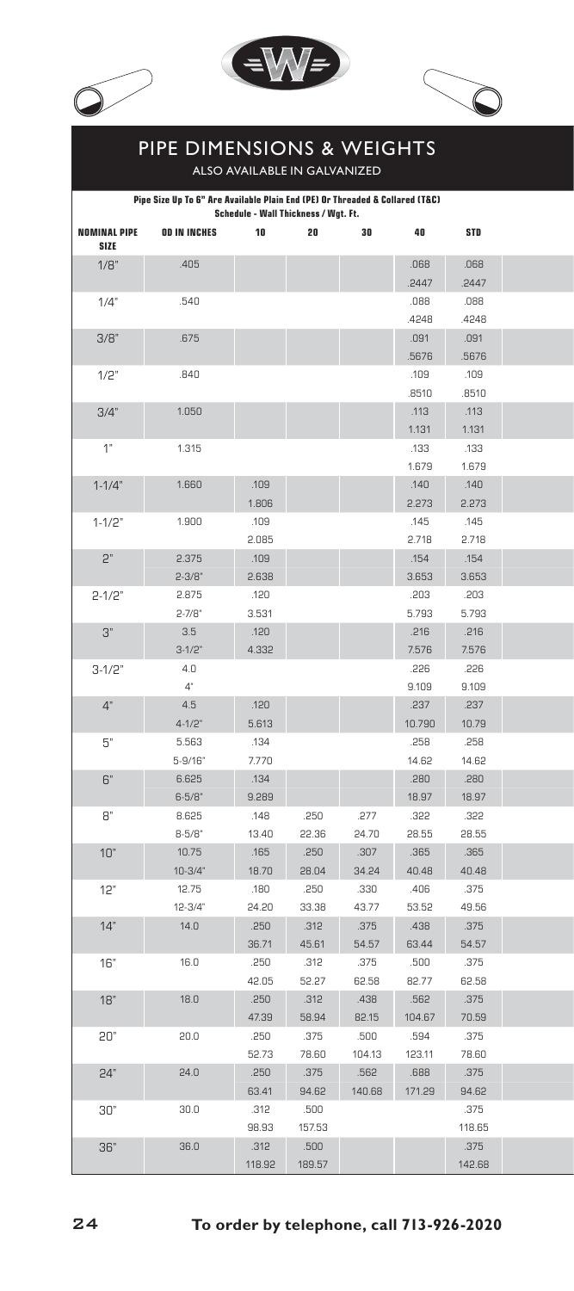





## Pipe Dimensions & Weights

Also available in Galvanized

|                                                                                                                                       |                     | Pipe Size Up To 6" Are Available Plain End (PE) Or Threaded & Collared (T&C)<br>Schedule - Wall Thickness / Wgt. Ft. |        |        |               |               |
|---------------------------------------------------------------------------------------------------------------------------------------|---------------------|----------------------------------------------------------------------------------------------------------------------|--------|--------|---------------|---------------|
| <b>NOMINAL PIPE</b><br>SIZE                                                                                                           | <b>OD IN INCHES</b> | 10                                                                                                                   | 20     | 30     | 40            | <b>STD</b>    |
| 1/8"                                                                                                                                  | .405                |                                                                                                                      |        |        | 880.          | .068          |
|                                                                                                                                       |                     |                                                                                                                      |        |        | .2447         | .2447         |
| 1/4"                                                                                                                                  | .540                |                                                                                                                      |        |        | 880.          | .088          |
|                                                                                                                                       |                     |                                                                                                                      |        |        | .4248         | .4248         |
| 3/8"                                                                                                                                  | .675                |                                                                                                                      |        |        | .091          | .091          |
|                                                                                                                                       |                     |                                                                                                                      |        |        | .5676         | .5676         |
| 1/2"                                                                                                                                  | .840                |                                                                                                                      |        |        | .109          | .109          |
|                                                                                                                                       |                     |                                                                                                                      |        |        | .8510         | .8510         |
| 3/4"                                                                                                                                  | 1.050               |                                                                                                                      |        |        | .113          | .113          |
|                                                                                                                                       |                     |                                                                                                                      |        |        | 1.131         | 1.131         |
| 1"                                                                                                                                    | 1.315               |                                                                                                                      |        |        | .133          | .133          |
|                                                                                                                                       |                     |                                                                                                                      |        |        | 1.679         | 1.679         |
| $1 - 1/4"$                                                                                                                            | 1.660               | .109                                                                                                                 |        |        | .140          | .140          |
| $1 - 1/2"$<br>$\mathsf{S}_n$<br>$2 - 1/2"$<br>$3"$<br>$3-1/2"$<br>4"<br>$5^\circ$<br>$\mathsf{G}''$<br>8"<br>10"<br>12"<br>14"<br>16" |                     | 1.806                                                                                                                |        |        | 2.273         | 2.273         |
|                                                                                                                                       | 1.900               | .109                                                                                                                 |        |        | .145          | .145          |
|                                                                                                                                       |                     | 2.085                                                                                                                |        |        | 2.718         | 2.718         |
|                                                                                                                                       | 2.375               | .109                                                                                                                 |        |        | .154          | .154          |
|                                                                                                                                       | $2 - 3/8"$          | 2.638                                                                                                                |        |        | 3.653         | 3.653         |
|                                                                                                                                       | 2.875<br>$2 - 7/8$  | .120<br>3.531                                                                                                        |        |        | .203<br>5.793 | .203<br>5.793 |
|                                                                                                                                       | 3.5                 | .120                                                                                                                 |        |        | .216          | .216          |
|                                                                                                                                       | $3 - 1/2$           | 4.332                                                                                                                |        |        | 7.576         | 7.576         |
|                                                                                                                                       | 4.0                 |                                                                                                                      |        |        | .226          | .226          |
|                                                                                                                                       | $4^{\circ}$         |                                                                                                                      |        |        | 9.109         | 9.109         |
|                                                                                                                                       | 4.5                 | .120                                                                                                                 |        |        | .237          | .237          |
|                                                                                                                                       | $4 - 1/2$           | 5.613                                                                                                                |        |        | 10.790        | 10.79         |
|                                                                                                                                       | 5.563               | .134                                                                                                                 |        |        | .258          | .258          |
|                                                                                                                                       | $5 - 9/16$          | 7.770                                                                                                                |        |        | 14.62         | 14.62         |
|                                                                                                                                       | 6.625               | .134                                                                                                                 |        |        | .280          | .280          |
|                                                                                                                                       | $6 - 5/8$           | 9.289                                                                                                                |        |        | 18.97         | 18.97         |
|                                                                                                                                       | 8.625               | .148                                                                                                                 | .250   | .277   | .322          | .322          |
|                                                                                                                                       | $8 - 5/8$           | 13.40                                                                                                                | 22.36  | 24.70  | 28.55         | 28.55         |
|                                                                                                                                       | 10.75               | .165                                                                                                                 | .250   | .307   | .365          | .365          |
|                                                                                                                                       | $10-3/4"$           | 18.70                                                                                                                | 28.04  | 34.24  | 40.48         | 40.48         |
|                                                                                                                                       | 12.75               | .180                                                                                                                 | .250   | .330   | .406          | .375          |
|                                                                                                                                       | $12 - 3/4$          | 24.20                                                                                                                | 33.38  | 43.77  | 53.52         | 49.56         |
|                                                                                                                                       | 14.0                | .250                                                                                                                 | .312   | .375   | .438          | .375          |
|                                                                                                                                       |                     | 36.71                                                                                                                | 45.61  | 54.57  | 63.44         | 54.57         |
|                                                                                                                                       | 16.0                | .250                                                                                                                 | .312   | .375   | .500          | .375          |
|                                                                                                                                       |                     | 42.05                                                                                                                | 52.27  | 62.58  | 82.77         | 62.58         |
| 18"                                                                                                                                   | 18.0                | .250                                                                                                                 | .312   | .438   | .562          | .375          |
|                                                                                                                                       |                     | 47.39                                                                                                                | 58.94  | 82.15  | 104.67        | 70.59         |
| 20"                                                                                                                                   | 20.0                | .250                                                                                                                 | .375   | .500   | .594          | .375          |
|                                                                                                                                       |                     | 52.73                                                                                                                | 78.60  | 104.13 | 123.11        | 78.60         |
| 24"                                                                                                                                   | 24.0                | .250                                                                                                                 | .375   | .562   | .688          | .375          |
|                                                                                                                                       |                     | 63.41                                                                                                                | 94.62  | 140.68 | 171.29        | 94.62         |
| 30"                                                                                                                                   | 30.0                | .312                                                                                                                 | .500   |        |               | .375          |
|                                                                                                                                       |                     | 98.93                                                                                                                | 157.53 |        |               | 118.65        |
| 36"                                                                                                                                   | 36.0                | .312                                                                                                                 | .500   |        |               | .375          |
|                                                                                                                                       |                     | 118.92                                                                                                               | 189.57 |        |               | 142.68        |